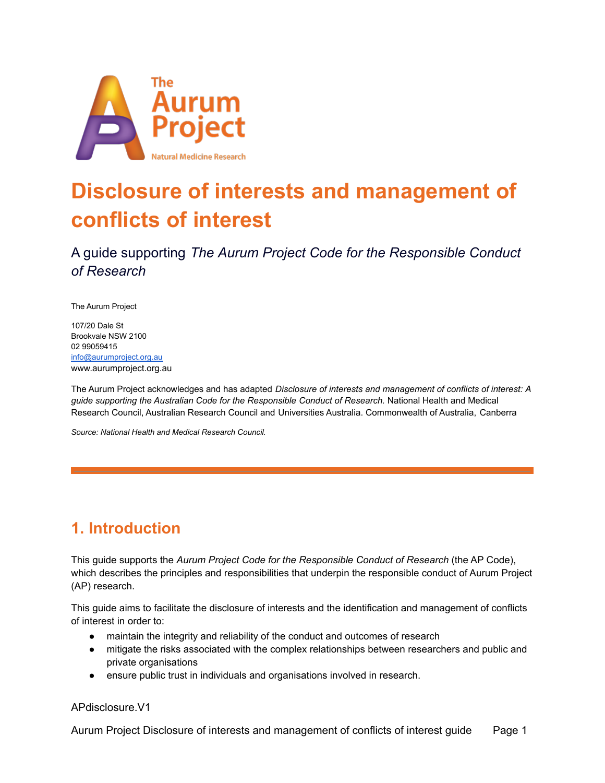

# **Disclosure of interests and management of conflicts of interest**

A guide supporting *The Aurum Project Code for the Responsible Conduct of Research*

The Aurum Project

107/20 Dale St Brookvale NSW 2100 02 99059415 [info@aurumproject.org.au](mailto:info@aurumproject.org.au) www.aurumproject.org.au

The Aurum Project acknowledges and has adapted *Disclosure of interests and management of conflicts of interest: A guide supporting the Australian Code for the Responsible Conduct of Research.* National Health and Medical Research Council, Australian Research Council and Universities Australia. Commonwealth of Australia, Canberra

*Source: National Health and Medical Research Council.*

# **1. Introduction**

This guide supports the *Aurum Project Code for the Responsible Conduct of Research* (the AP Code), which describes the principles and responsibilities that underpin the responsible conduct of Aurum Project (AP) research.

This guide aims to facilitate the disclosure of interests and the identification and management of conflicts of interest in order to:

- maintain the integrity and reliability of the conduct and outcomes of research
- mitigate the risks associated with the complex relationships between researchers and public and private organisations
- ensure public trust in individuals and organisations involved in research.

APdisclosure.V1

Aurum Project Disclosure of interests and management of conflicts of interest guide Page 1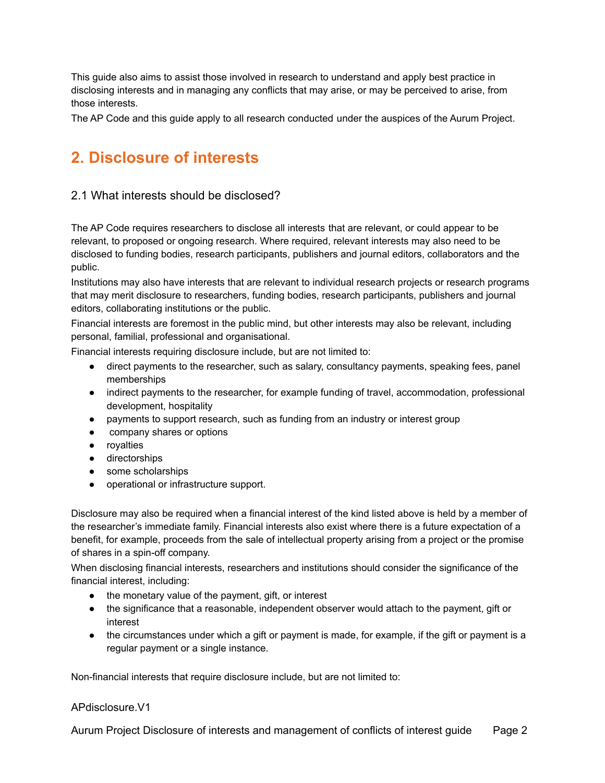This guide also aims to assist those involved in research to understand and apply best practice in disclosing interests and in managing any conflicts that may arise, or may be perceived to arise, from those interests.

The AP Code and this guide apply to all research conducted under the auspices of the Aurum Project.

# **2. Disclosure of interests**

#### 2.1 What interests should be disclosed?

The AP Code requires researchers to disclose all interests that are relevant, or could appear to be relevant, to proposed or ongoing research. Where required, relevant interests may also need to be disclosed to funding bodies, research participants, publishers and journal editors, collaborators and the public.

Institutions may also have interests that are relevant to individual research projects or research programs that may merit disclosure to researchers, funding bodies, research participants, publishers and journal editors, collaborating institutions or the public.

Financial interests are foremost in the public mind, but other interests may also be relevant, including personal, familial, professional and organisational.

Financial interests requiring disclosure include, but are not limited to:

- direct payments to the researcher, such as salary, consultancy payments, speaking fees, panel memberships
- indirect payments to the researcher, for example funding of travel, accommodation, professional development, hospitality
- payments to support research, such as funding from an industry or interest group
- company shares or options
- royalties
- directorships
- some scholarships
- operational or infrastructure support.

Disclosure may also be required when a financial interest of the kind listed above is held by a member of the researcher's immediate family. Financial interests also exist where there is a future expectation of a benefit, for example, proceeds from the sale of intellectual property arising from a project or the promise of shares in a spin-off company.

When disclosing financial interests, researchers and institutions should consider the significance of the financial interest, including:

- the monetary value of the payment, gift, or interest
- the significance that a reasonable, independent observer would attach to the payment, gift or interest
- the circumstances under which a gift or payment is made, for example, if the gift or payment is a regular payment or a single instance.

Non-financial interests that require disclosure include, but are not limited to:

#### APdisclosure.V1

Aurum Project Disclosure of interests and management of conflicts of interest guide Page 2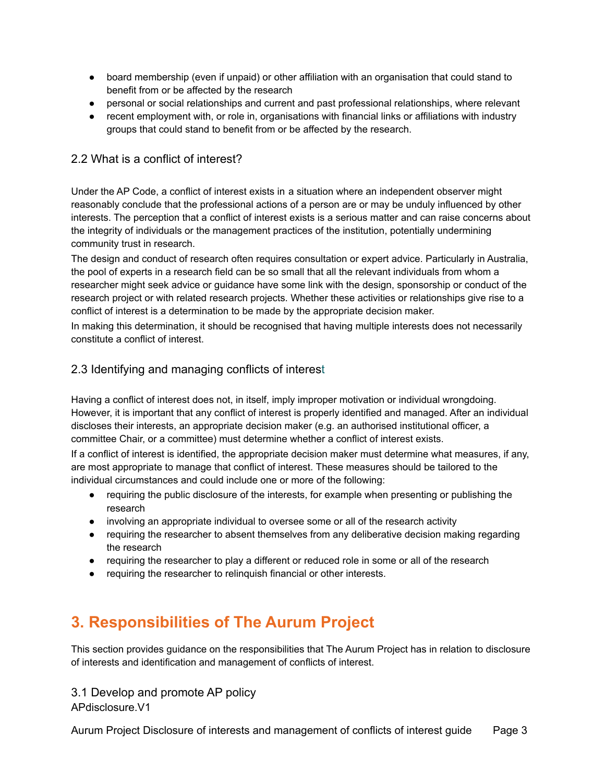- board membership (even if unpaid) or other affiliation with an organisation that could stand to benefit from or be affected by the research
- personal or social relationships and current and past professional relationships, where relevant
- recent employment with, or role in, organisations with financial links or affiliations with industry groups that could stand to benefit from or be affected by the research.

#### 2.2 What is a conflict of interest?

Under the AP Code, a conflict of interest exists in a situation where an independent observer might reasonably conclude that the professional actions of a person are or may be unduly influenced by other interests. The perception that a conflict of interest exists is a serious matter and can raise concerns about the integrity of individuals or the management practices of the institution, potentially undermining community trust in research.

The design and conduct of research often requires consultation or expert advice. Particularly in Australia, the pool of experts in a research field can be so small that all the relevant individuals from whom a researcher might seek advice or guidance have some link with the design, sponsorship or conduct of the research project or with related research projects. Whether these activities or relationships give rise to a conflict of interest is a determination to be made by the appropriate decision maker.

In making this determination, it should be recognised that having multiple interests does not necessarily constitute a conflict of interest.

#### 2.3 Identifying and managing conflicts of interest

Having a conflict of interest does not, in itself, imply improper motivation or individual wrongdoing. However, it is important that any conflict of interest is properly identified and managed. After an individual discloses their interests, an appropriate decision maker (e.g. an authorised institutional officer, a committee Chair, or a committee) must determine whether a conflict of interest exists.

If a conflict of interest is identified, the appropriate decision maker must determine what measures, if any, are most appropriate to manage that conflict of interest. These measures should be tailored to the individual circumstances and could include one or more of the following:

- requiring the public disclosure of the interests, for example when presenting or publishing the research
- involving an appropriate individual to oversee some or all of the research activity
- requiring the researcher to absent themselves from any deliberative decision making regarding the research
- requiring the researcher to play a different or reduced role in some or all of the research
- requiring the researcher to relinquish financial or other interests.

# **3. Responsibilities of The Aurum Project**

This section provides guidance on the responsibilities that The Aurum Project has in relation to disclosure of interests and identification and management of conflicts of interest.

3.1 Develop and promote AP policy

APdisclosure.V1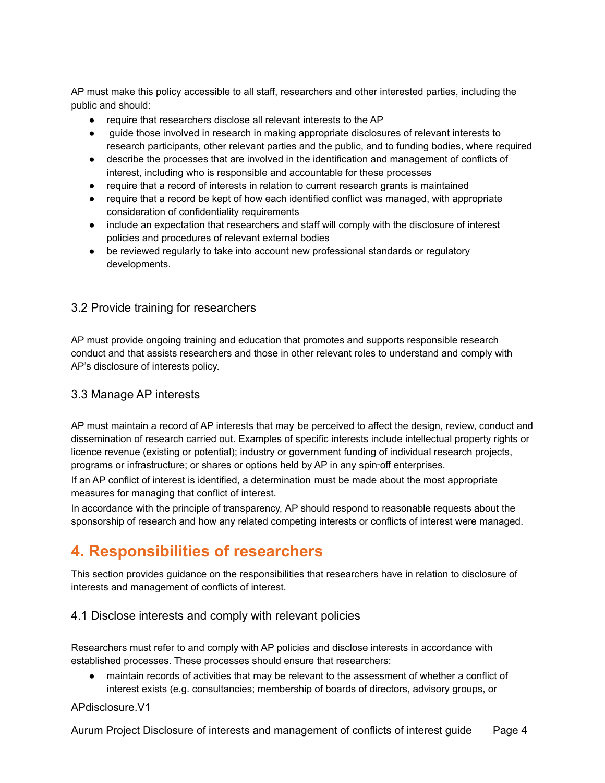AP must make this policy accessible to all staff, researchers and other interested parties, including the public and should:

- require that researchers disclose all relevant interests to the AP
- quide those involved in research in making appropriate disclosures of relevant interests to research participants, other relevant parties and the public, and to funding bodies, where required
- describe the processes that are involved in the identification and management of conflicts of interest, including who is responsible and accountable for these processes
- require that a record of interests in relation to current research grants is maintained
- require that a record be kept of how each identified conflict was managed, with appropriate consideration of confidentiality requirements
- include an expectation that researchers and staff will comply with the disclosure of interest policies and procedures of relevant external bodies
- be reviewed regularly to take into account new professional standards or regulatory developments.

#### 3.2 Provide training for researchers

AP must provide ongoing training and education that promotes and supports responsible research conduct and that assists researchers and those in other relevant roles to understand and comply with AP's disclosure of interests policy.

#### 3.3 Manage AP interests

AP must maintain a record of AP interests that may be perceived to affect the design, review, conduct and dissemination of research carried out. Examples of specific interests include intellectual property rights or licence revenue (existing or potential); industry or government funding of individual research projects, programs or infrastructure; or shares or options held by AP in any spin-off enterprises.

If an AP conflict of interest is identified, a determination must be made about the most appropriate measures for managing that conflict of interest.

In accordance with the principle of transparency, AP should respond to reasonable requests about the sponsorship of research and how any related competing interests or conflicts of interest were managed.

# **4. Responsibilities of researchers**

This section provides guidance on the responsibilities that researchers have in relation to disclosure of interests and management of conflicts of interest.

#### 4.1 Disclose interests and comply with relevant policies

Researchers must refer to and comply with AP policies and disclose interests in accordance with established processes. These processes should ensure that researchers:

● maintain records of activities that may be relevant to the assessment of whether a conflict of interest exists (e.g. consultancies; membership of boards of directors, advisory groups, or

#### APdisclosure.V1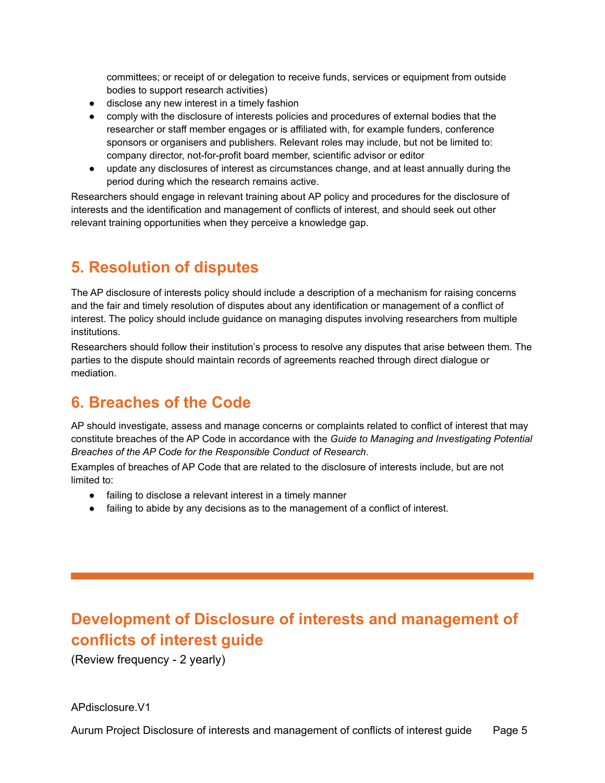committees; or receipt of or delegation to receive funds, services or equipment from outside bodies to support research activities)

- disclose any new interest in a timely fashion
- comply with the disclosure of interests policies and procedures of external bodies that the researcher or staff member engages or is affiliated with, for example funders, conference sponsors or organisers and publishers. Relevant roles may include, but not be limited to: company director, not-for-profit board member, scientific advisor or editor
- update any disclosures of interest as circumstances change, and at least annually during the period during which the research remains active.

Researchers should engage in relevant training about AP policy and procedures for the disclosure of interests and the identification and management of conflicts of interest, and should seek out other relevant training opportunities when they perceive a knowledge gap.

# **5. Resolution of disputes**

The AP disclosure of interests policy should include a description of a mechanism for raising concerns and the fair and timely resolution of disputes about any identification or management of a conflict of interest. The policy should include guidance on managing disputes involving researchers from multiple institutions.

Researchers should follow their institution's process to resolve any disputes that arise between them. The parties to the dispute should maintain records of agreements reached through direct dialogue or mediation.

### **6. Breaches of the Code**

AP should investigate, assess and manage concerns or complaints related to conflict of interest that may constitute breaches of the AP Code in accordance with the *Guide to Managing and Investigating Potential Breaches of the AP Code for the Responsible Conduct of Research*.

Examples of breaches of AP Code that are related to the disclosure of interests include, but are not limited to:

- failing to disclose a relevant interest in a timely manner
- failing to abide by any decisions as to the management of a conflict of interest.

# **Development of Disclosure of interests and management of conflicts of interest guide**

(Review frequency - 2 yearly)

APdisclosure.V1